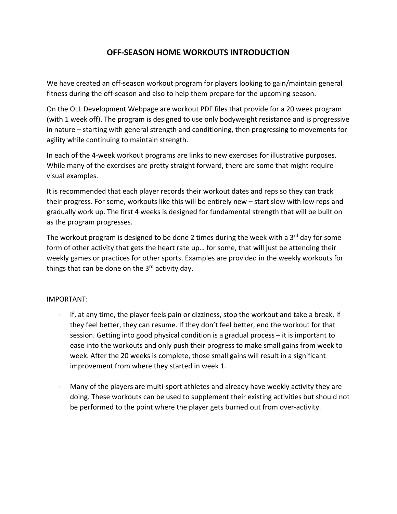## **OFF‐SEASON HOME WORKOUTS INTRODUCTION**

We have created an off-season workout program for players looking to gain/maintain general fitness during the off‐season and also to help them prepare for the upcoming season.

On the OLL Development Webpage are workout PDF files that provide for a 20 week program (with 1 week off). The program is designed to use only bodyweight resistance and is progressive in nature – starting with general strength and conditioning, then progressing to movements for agility while continuing to maintain strength.

In each of the 4‐week workout programs are links to new exercises for illustrative purposes. While many of the exercises are pretty straight forward, there are some that might require visual examples.

It is recommended that each player records their workout dates and reps so they can track their progress. For some, workouts like this will be entirely new – start slow with low reps and gradually work up. The first 4 weeks is designed for fundamental strength that will be built on as the program progresses.

The workout program is designed to be done 2 times during the week with a  $3<sup>rd</sup>$  day for some form of other activity that gets the heart rate up… for some, that will just be attending their weekly games or practices for other sports. Examples are provided in the weekly workouts for things that can be done on the  $3<sup>rd</sup>$  activity day.

## IMPORTANT:

- ‐ If, at any time, the player feels pain or dizziness, stop the workout and take a break. If they feel better, they can resume. If they don't feel better, end the workout for that session. Getting into good physical condition is a gradual process – it is important to ease into the workouts and only push their progress to make small gains from week to week. After the 20 weeks is complete, those small gains will result in a significant improvement from where they started in week 1.
- Many of the players are multi-sport athletes and already have weekly activity they are doing. These workouts can be used to supplement their existing activities but should not be performed to the point where the player gets burned out from over-activity.